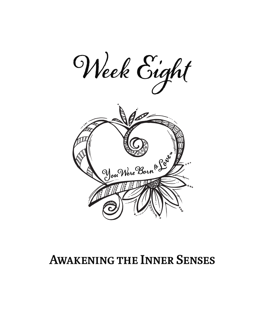

### **Awakening the Inner Senses**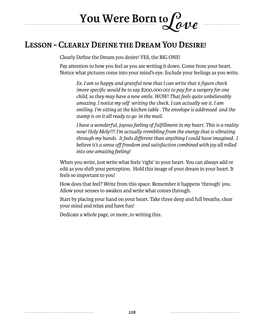# **You Were Born to Love**

#### **Lesson - Clearly Define the Dream You Desire!**

Clearly Define the Dream you desire! YES, the BIG ONE!

Pay attention to how you feel as you are writing it down. Come from your heart. Notice what pictures come into your mind's eye. Include your feelings as you write.

*Ex. I am so happy and grateful now that I can write that 6 figure check (more specific would be to say \$200,000.00) to pay for a surgery for one child, so they may have a new smile. WOW! That feels quite unbelievably amazing. I notice my self writing the check. I can actually see it. I am smiling. I'm sitting at the kitchen table . The envelope is addressed and the stamp is on it all ready to go in the mail.*

*I have a wonderful, joyous feeling of fulfillment in my heart. This is a reality now! Holy Moly!!!! I'm actually trembling from the energy that is vibrating through my hands. It feels different than anything I could have imagined. I believe it's a sense off freedom and satisfaction combined with joy all rolled into one amazing feeling!*

When you write, just write what feels 'right' in your heart. You can always add or edit as you shift your perception. Hold this image of your dream in your heart. It feels so important to you!

How does that feel? Write from this space. Remember it happens 'through' you. Allow your senses to awaken and write what comes through.

Start by placing your hand on your heart. Take three deep and full breaths, clear your mind and relax and have fun!

Dedicate a whole page, or more, to writing this.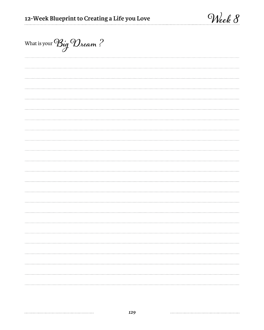| What is your $\mathcal{B}_{q}$ $\mathcal{D}_{beam}$ ? |  |  |
|-------------------------------------------------------|--|--|
|                                                       |  |  |
|                                                       |  |  |
|                                                       |  |  |
|                                                       |  |  |
|                                                       |  |  |
|                                                       |  |  |
|                                                       |  |  |
|                                                       |  |  |
|                                                       |  |  |
|                                                       |  |  |
|                                                       |  |  |
|                                                       |  |  |
|                                                       |  |  |
|                                                       |  |  |
|                                                       |  |  |
|                                                       |  |  |
|                                                       |  |  |
|                                                       |  |  |
|                                                       |  |  |
|                                                       |  |  |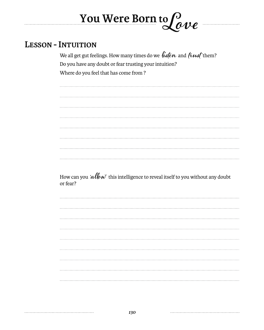#### **Lesson - Intuition**

We all get gut feelings. How many times do we listen and  $\hbar u$ sthem? Do you have any doubt or fear trusting your intuition? Where do you feel that has come from ?

**Love**

**You Were Born to**

How can you *'allow*' this intelligence to reveal itself to you without any doubt<br>or fear? or fear?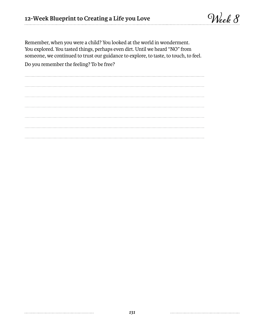Remember, when you were a child? You looked at the world in wonderment. You explored. You tasted things, perhaps even dirt. Until we heard "NO" from someone, we continued to trust our guidance to explore, to taste, to touch, to feel.

Do you remember the feeling? To be free?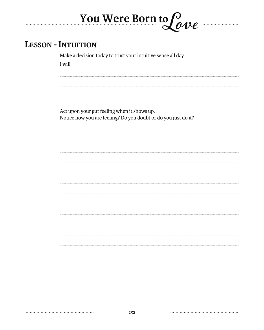#### **Lesson - Intuition**

Make a decision today to trust your intuitive sense all day.

I will

**You Were Born to**

**Love**

Act upon your gut feeling when it shows up.

Notice how you are feeling? Do you doubt or do you just do it?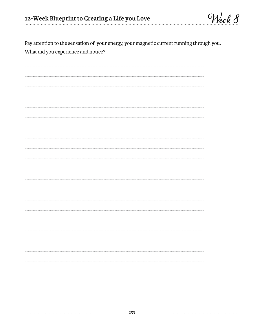Pay attention to the sensation of your energy, your magnetic current running through you. What did you experience and notice?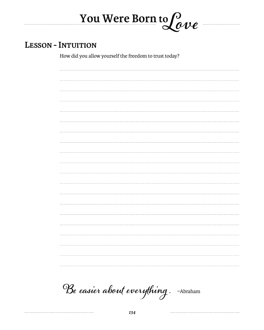#### **Lesson - Intuition**

How did you allow yourself the freedom to trust today?

**You Were Born to Love**

. . . . . . . . .

**Be easier about everything .** ~Abraham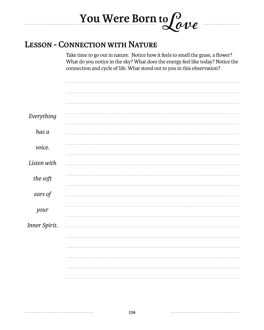## **You Were Born to Love Lesson - Connection with Nature**

#### Take time to go out in nature. Notice how it feels to smell the grass, a flower? What do you notice in the sky? What does the energy feel like today? Notice the connection and cycle of life. What stood out to you in this observation?

| Everything    |  |
|---------------|--|
|               |  |
|               |  |
| has a         |  |
|               |  |
|               |  |
| voice.        |  |
|               |  |
|               |  |
| Listen with   |  |
|               |  |
| the soft      |  |
|               |  |
|               |  |
| ears of       |  |
|               |  |
|               |  |
| your          |  |
|               |  |
|               |  |
| Inner Spirit. |  |
|               |  |
|               |  |
|               |  |
|               |  |
|               |  |
|               |  |
|               |  |
|               |  |
|               |  |
|               |  |
|               |  |
|               |  |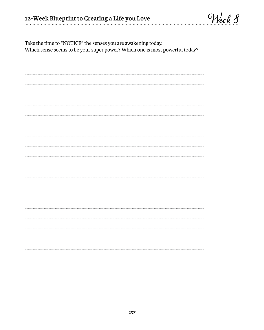| Take the time to NOTICE the senses you are awakening today.<br>Which sense seems to be your super power? Which one is most powerful today? |  |  |  |  |  |
|--------------------------------------------------------------------------------------------------------------------------------------------|--|--|--|--|--|
|                                                                                                                                            |  |  |  |  |  |
|                                                                                                                                            |  |  |  |  |  |
|                                                                                                                                            |  |  |  |  |  |
|                                                                                                                                            |  |  |  |  |  |
|                                                                                                                                            |  |  |  |  |  |
|                                                                                                                                            |  |  |  |  |  |
|                                                                                                                                            |  |  |  |  |  |
|                                                                                                                                            |  |  |  |  |  |
|                                                                                                                                            |  |  |  |  |  |
|                                                                                                                                            |  |  |  |  |  |
|                                                                                                                                            |  |  |  |  |  |
|                                                                                                                                            |  |  |  |  |  |
|                                                                                                                                            |  |  |  |  |  |
|                                                                                                                                            |  |  |  |  |  |
|                                                                                                                                            |  |  |  |  |  |
|                                                                                                                                            |  |  |  |  |  |

Take the time to "NOTICE" the senses you are awakening today.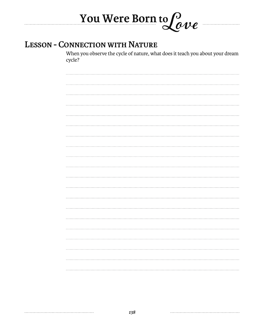## **You Were Born to Love LESSON - CONNECTION WITH NATURE**

When you observe the cycle of nature, what does it teach you about your dream cycle?

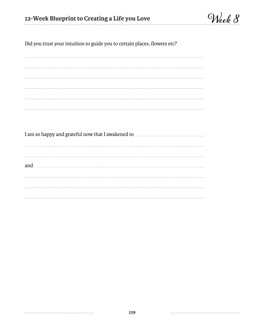**Week 8**

Did you trust your intuition to guide you to certain places, flowers etc?

I am so happy and grateful now that I awakened to and <u>successive and successive and successive</u> and successive and successive and successive and successive and successive and successive and successive and successive and successive and successive and successive and succes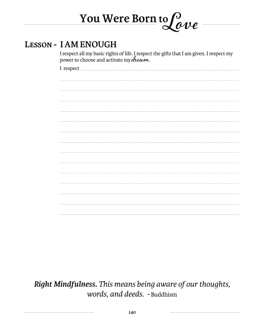#### **Lesson - I AM ENOUGH**

I respect all my basic rights of life. I respect the gifts that I am given. I respect my power to choose and activate my **dream**.

 $\bm{\nu} \bm{e}$ 

**You Were Born to**

I respect

*Right Mindfulness. This means being aware of our thoughts, words, and deeds. ~* Buddhism